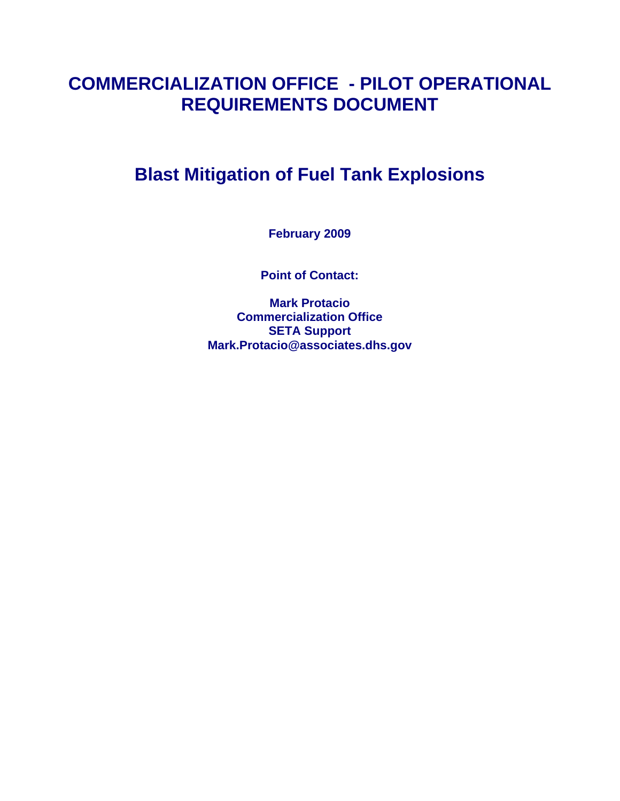# **COMMERCIALIZATION OFFICE - PILOT OPERATIONAL REQUIREMENTS DOCUMENT**

# **Blast Mitigation of Fuel Tank Explosions**

**February 2009** 

**Point of Contact:** 

**Mark Protacio Commercialization Office SETA Support Mark.Protacio@associates.dhs.gov**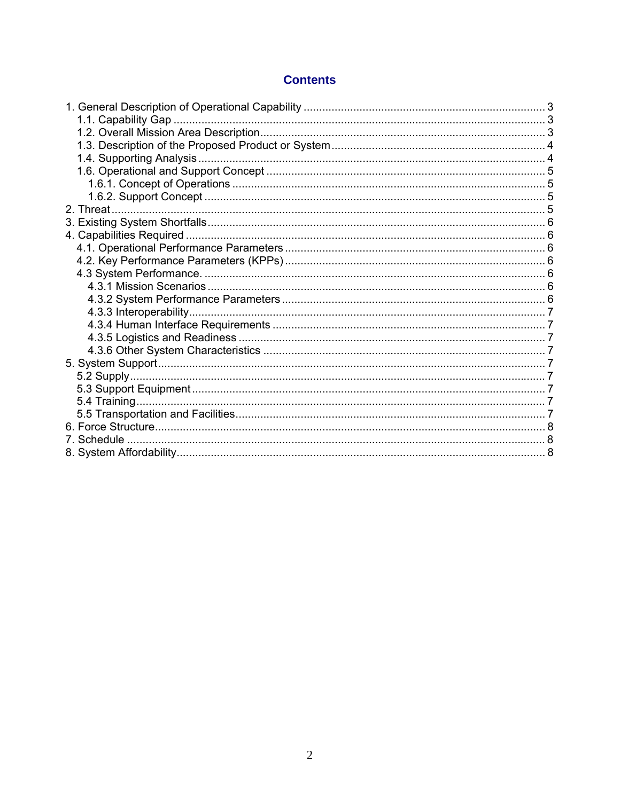# **Contents**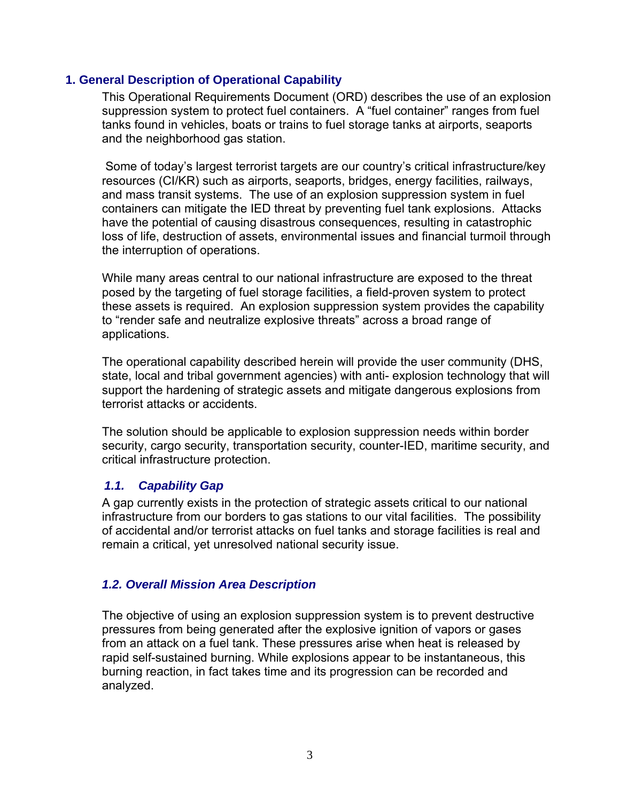# <span id="page-2-0"></span>**1. General Description of Operational Capability**

This Operational Requirements Document (ORD) describes the use of an explosion suppression system to protect fuel containers. A "fuel container" ranges from fuel tanks found in vehicles, boats or trains to fuel storage tanks at airports, seaports and the neighborhood gas station.

 Some of today's largest terrorist targets are our country's critical infrastructure/key resources (CI/KR) such as airports, seaports, bridges, energy facilities, railways, and mass transit systems. The use of an explosion suppression system in fuel containers can mitigate the IED threat by preventing fuel tank explosions. Attacks have the potential of causing disastrous consequences, resulting in catastrophic loss of life, destruction of assets, environmental issues and financial turmoil through the interruption of operations.

While many areas central to our national infrastructure are exposed to the threat posed by the targeting of fuel storage facilities, a field-proven system to protect these assets is required. An explosion suppression system provides the capability to "render safe and neutralize explosive threats" across a broad range of applications.

The operational capability described herein will provide the user community (DHS, state, local and tribal government agencies) with anti- explosion technology that will support the hardening of strategic assets and mitigate dangerous explosions from terrorist attacks or accidents.

The solution should be applicable to explosion suppression needs within border security, cargo security, transportation security, counter-IED, maritime security, and critical infrastructure protection.

# *1.1. Capability Gap*

A gap currently exists in the protection of strategic assets critical to our national infrastructure from our borders to gas stations to our vital facilities. The possibility of accidental and/or terrorist attacks on fuel tanks and storage facilities is real and remain a critical, yet unresolved national security issue.

# *1.2. Overall Mission Area Description*

The objective of using an explosion suppression system is to prevent destructive pressures from being generated after the explosive ignition of vapors or gases from an attack on a fuel tank. These pressures arise when heat is released by rapid self-sustained burning. While explosions appear to be instantaneous, this burning reaction, in fact takes time and its progression can be recorded and analyzed.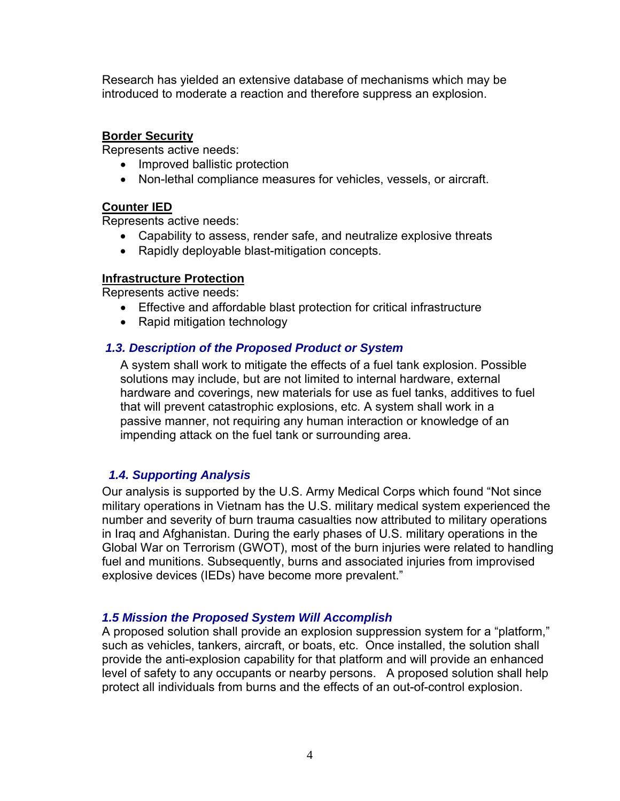<span id="page-3-0"></span>Research has yielded an extensive database of mechanisms which may be introduced to moderate a reaction and therefore suppress an explosion.

# **Border Security**

Represents active needs:

- Improved ballistic protection
- Non-lethal compliance measures for vehicles, vessels, or aircraft.

# **Counter IED**

Represents active needs:

- Capability to assess, render safe, and neutralize explosive threats
- Rapidly deployable blast-mitigation concepts.

# **Infrastructure Protection**

Represents active needs:

- Effective and affordable blast protection for critical infrastructure
- Rapid mitigation technology

# *1.3. Description of the Proposed Product or System*

A system shall work to mitigate the effects of a fuel tank explosion. Possible solutions may include, but are not limited to internal hardware, external hardware and coverings, new materials for use as fuel tanks, additives to fuel that will prevent catastrophic explosions, etc. A system shall work in a passive manner, not requiring any human interaction or knowledge of an impending attack on the fuel tank or surrounding area.

# *1.4. Supporting Analysis*

Our analysis is supported by the U.S. Army Medical Corps which found "Not since military operations in Vietnam has the U.S. military medical system experienced the number and severity of burn trauma casualties now attributed to military operations in Iraq and Afghanistan. During the early phases of U.S. military operations in the Global War on Terrorism (GWOT), most of the burn injuries were related to handling fuel and munitions. Subsequently, burns and associated injuries from improvised explosive devices (IEDs) have become more prevalent."

# *1.5 Mission the Proposed System Will Accomplish*

A proposed solution shall provide an explosion suppression system for a "platform," such as vehicles, tankers, aircraft, or boats, etc. Once installed, the solution shall provide the anti-explosion capability for that platform and will provide an enhanced level of safety to any occupants or nearby persons. A proposed solution shall help protect all individuals from burns and the effects of an out-of-control explosion.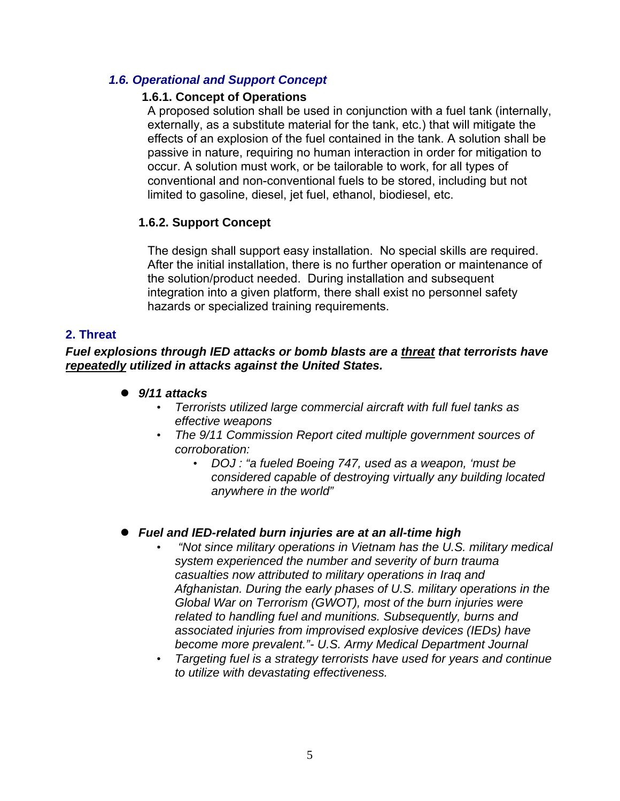# <span id="page-4-0"></span> *1.6. Operational and Support Concept*

# **1.6.1. Concept of Operations**

A proposed solution shall be used in conjunction with a fuel tank (internally, externally, as a substitute material for the tank, etc.) that will mitigate the effects of an explosion of the fuel contained in the tank. A solution shall be passive in nature, requiring no human interaction in order for mitigation to occur. A solution must work, or be tailorable to work, for all types of conventional and non-conventional fuels to be stored, including but not limited to gasoline, diesel, jet fuel, ethanol, biodiesel, etc.

# **1.6.2. Support Concept**

The design shall support easy installation. No special skills are required. After the initial installation, there is no further operation or maintenance of the solution/product needed. During installation and subsequent integration into a given platform, there shall exist no personnel safety hazards or specialized training requirements.

# **2. Threat**

*Fuel explosions through IED attacks or bomb blasts are a threat that terrorists have repeatedly utilized in attacks against the United States.* 

- z *9/11 attacks*
	- *Terrorists utilized large commercial aircraft with full fuel tanks as effective weapons*
	- *The 9/11 Commission Report cited multiple government sources of corroboration:* 
		- *DOJ : "a fueled Boeing 747, used as a weapon, 'must be considered capable of destroying virtually any building located anywhere in the world"*

# z *Fuel and IED-related burn injuries are at an all-time high*

- • *"Not since military operations in Vietnam has the U.S. military medical system experienced the number and severity of burn trauma casualties now attributed to military operations in Iraq and Afghanistan. During the early phases of U.S. military operations in the Global War on Terrorism (GWOT), most of the burn injuries were related to handling fuel and munitions. Subsequently, burns and associated injuries from improvised explosive devices (IEDs) have become more prevalent."- U.S. Army Medical Department Journal*
- *Targeting fuel is a strategy terrorists have used for years and continue to utilize with devastating effectiveness.*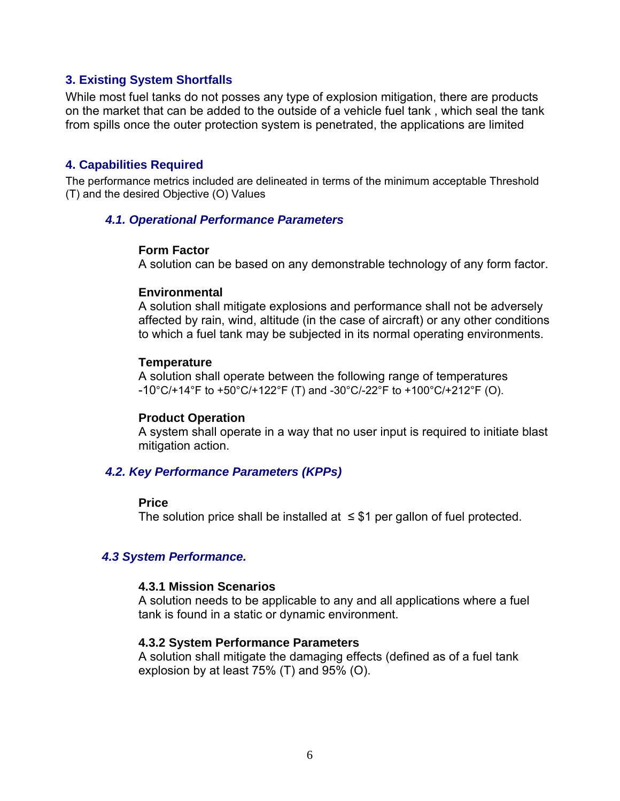### <span id="page-5-0"></span>**3. Existing System Shortfalls**

While most fuel tanks do not posses any type of explosion mitigation, there are products on the market that can be added to the outside of a vehicle fuel tank , which seal the tank from spills once the outer protection system is penetrated, the applications are limited

#### **4. Capabilities Required**

The performance metrics included are delineated in terms of the minimum acceptable Threshold (T) and the desired Objective (O) Values

#### *4.1. Operational Performance Parameters*

#### **Form Factor**

A solution can be based on any demonstrable technology of any form factor.

#### **Environmental**

A solution shall mitigate explosions and performance shall not be adversely affected by rain, wind, altitude (in the case of aircraft) or any other conditions to which a fuel tank may be subjected in its normal operating environments.

#### **Temperature**

A solution shall operate between the following range of temperatures  $-10^{\circ}$ C/+14 $^{\circ}$ F to +50 $^{\circ}$ C/+122 $^{\circ}$ F (T) and -30 $^{\circ}$ C/-22 $^{\circ}$ F to +100 $^{\circ}$ C/+212 $^{\circ}$ F (O).

#### **Product Operation**

A system shall operate in a way that no user input is required to initiate blast mitigation action.

#### *4.2. Key Performance Parameters (KPPs)*

#### **Price**

The solution price shall be installed at  $\leq$  \$1 per gallon of fuel protected.

#### *4.3 System Performance.*

#### **4.3.1 Mission Scenarios**

A solution needs to be applicable to any and all applications where a fuel tank is found in a static or dynamic environment.

#### **4.3.2 System Performance Parameters**

A solution shall mitigate the damaging effects (defined as of a fuel tank explosion by at least 75% (T) and 95% (O).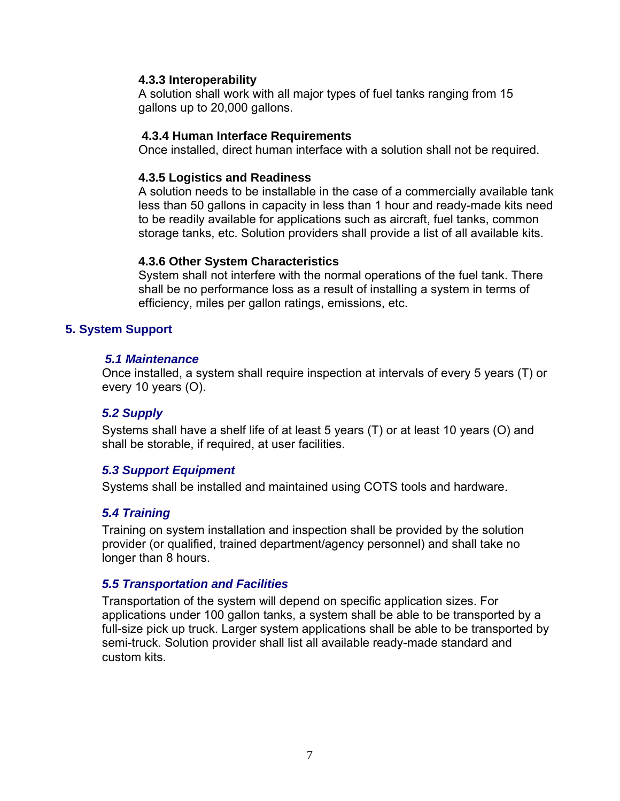### <span id="page-6-0"></span>**4.3.3 Interoperability**

A solution shall work with all major types of fuel tanks ranging from 15 gallons up to 20,000 gallons.

### **4.3.4 Human Interface Requirements**

Once installed, direct human interface with a solution shall not be required.

# **4.3.5 Logistics and Readiness**

A solution needs to be installable in the case of a commercially available tank less than 50 gallons in capacity in less than 1 hour and ready-made kits need to be readily available for applications such as aircraft, fuel tanks, common storage tanks, etc. Solution providers shall provide a list of all available kits.

### **4.3.6 Other System Characteristics**

System shall not interfere with the normal operations of the fuel tank. There shall be no performance loss as a result of installing a system in terms of efficiency, miles per gallon ratings, emissions, etc.

# **5. System Support**

### *5.1 Maintenance*

Once installed, a system shall require inspection at intervals of every 5 years (T) or every 10 years (O).

# *5.2 Supply*

Systems shall have a shelf life of at least 5 years (T) or at least 10 years (O) and shall be storable, if required, at user facilities.

# *5.3 Support Equipment*

Systems shall be installed and maintained using COTS tools and hardware.

# *5.4 Training*

Training on system installation and inspection shall be provided by the solution provider (or qualified, trained department/agency personnel) and shall take no longer than 8 hours.

#### *5.5 Transportation and Facilities*

Transportation of the system will depend on specific application sizes. For applications under 100 gallon tanks, a system shall be able to be transported by a full-size pick up truck. Larger system applications shall be able to be transported by semi-truck. Solution provider shall list all available ready-made standard and custom kits.